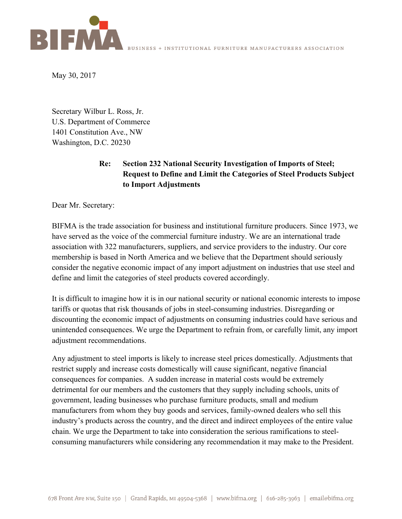

May 30, 2017

Secretary Wilbur L. Ross, Jr. U.S. Department of Commerce 1401 Constitution Ave., NW Washington, D.C. 20230

## **Re: Section 232 National Security Investigation of Imports of Steel; Request to Define and Limit the Categories of Steel Products Subject to Import Adjustments**

Dear Mr. Secretary:

BIFMA is the trade association for business and institutional furniture producers. Since 1973, we have served as the voice of the commercial furniture industry. We are an international trade association with 322 manufacturers, suppliers, and service providers to the industry. Our core membership is based in North America and we believe that the Department should seriously consider the negative economic impact of any import adjustment on industries that use steel and define and limit the categories of steel products covered accordingly.

It is difficult to imagine how it is in our national security or national economic interests to impose tariffs or quotas that risk thousands of jobs in steel-consuming industries. Disregarding or discounting the economic impact of adjustments on consuming industries could have serious and unintended consequences. We urge the Department to refrain from, or carefully limit, any import adjustment recommendations.

Any adjustment to steel imports is likely to increase steel prices domestically. Adjustments that restrict supply and increase costs domestically will cause significant, negative financial consequences for companies. A sudden increase in material costs would be extremely detrimental for our members and the customers that they supply including schools, units of government, leading businesses who purchase furniture products, small and medium manufacturers from whom they buy goods and services, family-owned dealers who sell this industry's products across the country, and the direct and indirect employees of the entire value chain. We urge the Department to take into consideration the serious ramifications to steelconsuming manufacturers while considering any recommendation it may make to the President.